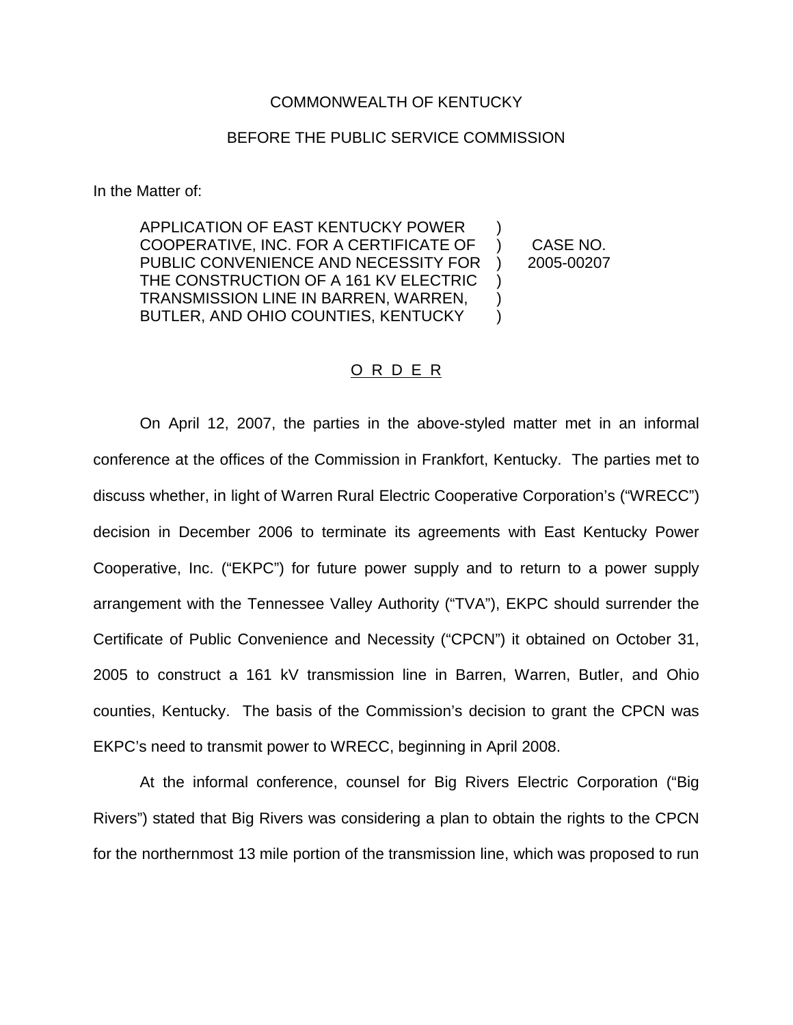## COMMONWEALTH OF KENTUCKY

## BEFORE THE PUBLIC SERVICE COMMISSION

In the Matter of:

APPLICATION OF EAST KENTUCKY POWER COOPERATIVE, INC. FOR A CERTIFICATE OF PUBLIC CONVENIENCE AND NECESSITY FOR THE CONSTRUCTION OF A 161 KV ELECTRIC TRANSMISSION LINE IN BARREN, WARREN, BUTLER, AND OHIO COUNTIES, KENTUCKY ) ) CASE NO. ) 2005-00207 ) )  $\lambda$ 

O R D E R

On April 12, 2007, the parties in the above-styled matter met in an informal conference at the offices of the Commission in Frankfort, Kentucky. The parties met to discuss whether, in light of Warren Rural Electric Cooperative Corporation's ("WRECC") decision in December 2006 to terminate its agreements with East Kentucky Power Cooperative, Inc. ("EKPC") for future power supply and to return to a power supply arrangement with the Tennessee Valley Authority ("TVA"), EKPC should surrender the Certificate of Public Convenience and Necessity ("CPCN") it obtained on October 31, 2005 to construct a 161 kV transmission line in Barren, Warren, Butler, and Ohio counties, Kentucky. The basis of the Commission's decision to grant the CPCN was EKPC's need to transmit power to WRECC, beginning in April 2008.

At the informal conference, counsel for Big Rivers Electric Corporation ("Big Rivers") stated that Big Rivers was considering a plan to obtain the rights to the CPCN for the northernmost 13 mile portion of the transmission line, which was proposed to run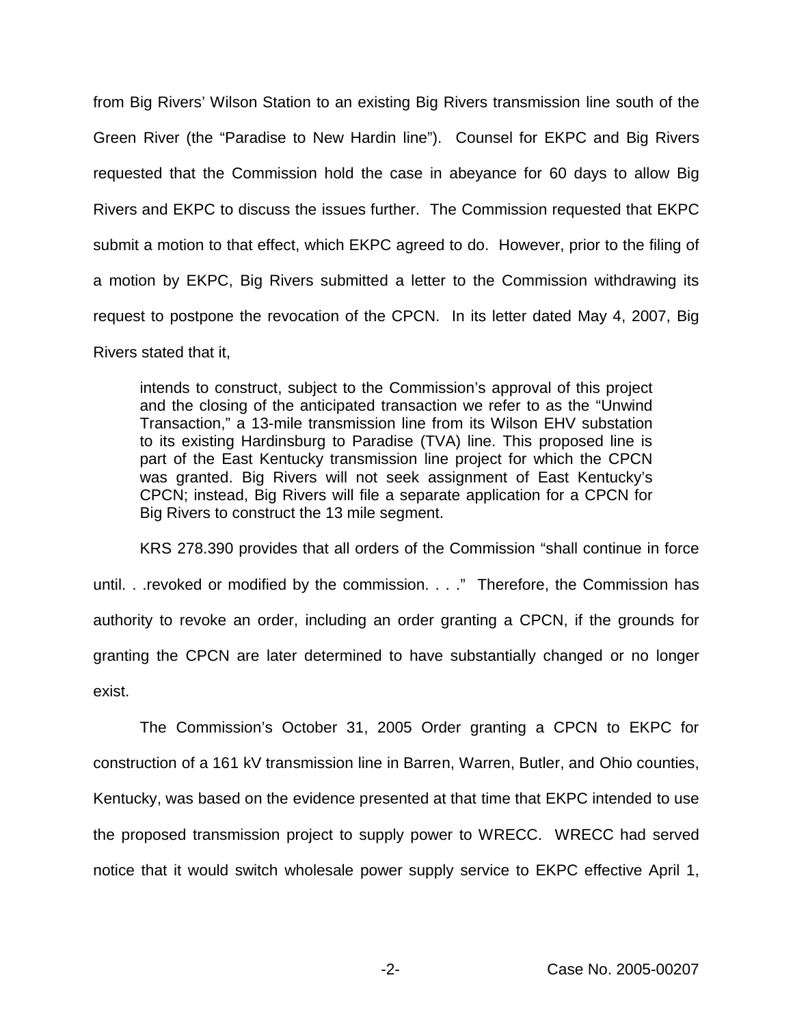from Big Rivers' Wilson Station to an existing Big Rivers transmission line south of the Green River (the "Paradise to New Hardin line"). Counsel for EKPC and Big Rivers requested that the Commission hold the case in abeyance for 60 days to allow Big Rivers and EKPC to discuss the issues further. The Commission requested that EKPC submit a motion to that effect, which EKPC agreed to do. However, prior to the filing of a motion by EKPC, Big Rivers submitted a letter to the Commission withdrawing its request to postpone the revocation of the CPCN. In its letter dated May 4, 2007, Big Rivers stated that it,

intends to construct, subject to the Commission's approval of this project and the closing of the anticipated transaction we refer to as the "Unwind Transaction," a 13-mile transmission line from its Wilson EHV substation to its existing Hardinsburg to Paradise (TVA) line. This proposed line is part of the East Kentucky transmission line project for which the CPCN was granted. Big Rivers will not seek assignment of East Kentucky's CPCN; instead, Big Rivers will file a separate application for a CPCN for Big Rivers to construct the 13 mile segment.

KRS 278.390 provides that all orders of the Commission "shall continue in force until. . .revoked or modified by the commission. . . ." Therefore, the Commission has authority to revoke an order, including an order granting a CPCN, if the grounds for granting the CPCN are later determined to have substantially changed or no longer exist.

The Commission's October 31, 2005 Order granting a CPCN to EKPC for construction of a 161 kV transmission line in Barren, Warren, Butler, and Ohio counties, Kentucky, was based on the evidence presented at that time that EKPC intended to use the proposed transmission project to supply power to WRECC. WRECC had served notice that it would switch wholesale power supply service to EKPC effective April 1,